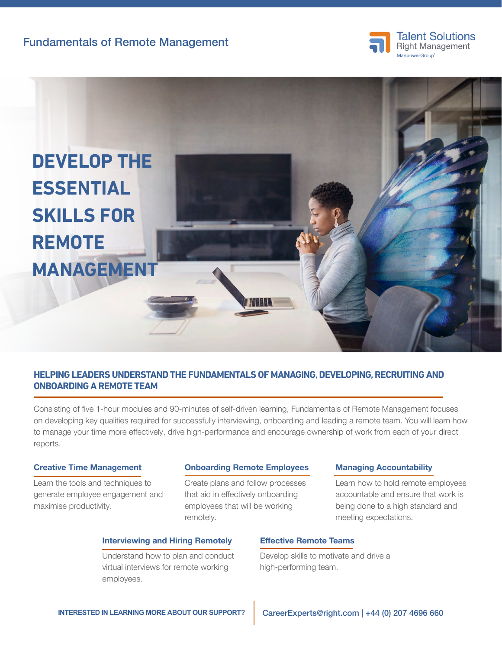Fundamentals of Remote Management





## **HELPING LEADERS UNDERSTAND THE FUNDAMENTALS OF MANAGING, DEVELOPING, RECRUITING AND ONBOARDING A REMOTE TEAM**

Consisting of five 1-hour modules and 90-minutes of self-driven learning, Fundamentals of Remote Management focuses on developing key qualities required for successfully interviewing, onboarding and leading a remote team. You will learn how to manage your time more effectively, drive high-performance and encourage ownership of work from each of your direct reports.

### Creative Time Management

Learn the tools and techniques to generate employee engagement and maximise productivity.

#### Onboarding Remote Employees

Create plans and follow processes that aid in effectively onboarding employees that will be working remotely.

### Interviewing and Hiring Remotely

Understand how to plan and conduct virtual interviews for remote working employees.

### Effective Remote Teams

Develop skills to motivate and drive a high-performing team.

## Managing Accountability

Learn how to hold remote employees accountable and ensure that work is being done to a high standard and meeting expectations.